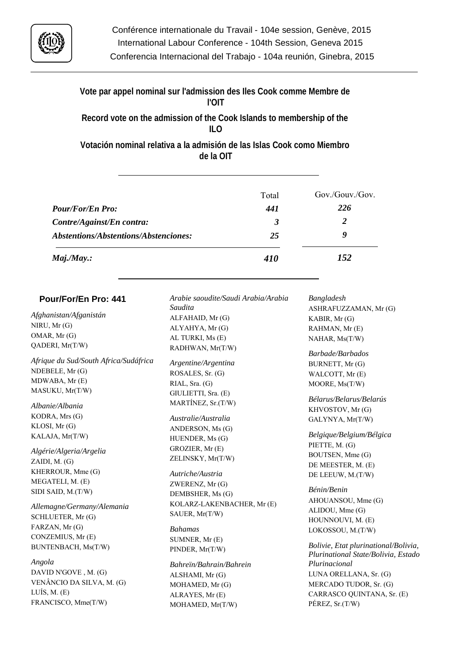

**Vote par appel nominal sur l'admission des Iles Cook comme Membre de l'OIT**

**Record vote on the admission of the Cook Islands to membership of the ILO**

**Votación nominal relativa a la admisión de las Islas Cook como Miembro de la OIT**

|                                       | Total      | Gov./Gouv./Gov. |
|---------------------------------------|------------|-----------------|
| <b>Pour/For/En Pro:</b>               | 441        | 226             |
| Contre/Against/En contra:             | 3          | 2               |
| Abstentions/Abstentions/Abstenciones: | 25         | 9               |
| $Maj.$ /May.:                         | <b>410</b> | 152             |

| Pour/For/En Pro: 441                  | Arabie saoudite/Saudi Arabia/Arabia | Bangladesh                                                                  |
|---------------------------------------|-------------------------------------|-----------------------------------------------------------------------------|
|                                       | Saudita                             | ASHRAFUZZAMAN, Mr (G)                                                       |
| Afghanistan/Afganistán                | ALFAHAID, Mr (G)                    | KABIR, Mr (G)                                                               |
| NIRU, Mr (G)                          | ALYAHYA, Mr (G)                     | RAHMAN, Mr (E)                                                              |
| OMAR, Mr (G)                          | AL TURKI, Ms (E)                    | NAHAR, Ms(T/W)                                                              |
| QADERI, Mr(T/W)                       | RADHWAN, Mr(T/W)                    | Barbade/Barbados                                                            |
| Afrique du Sud/South Africa/Sudáfrica | Argentine/Argentina                 | BURNETT, Mr (G)                                                             |
| NDEBELE, Mr (G)                       | ROSALES, Sr. (G)                    | WALCOTT, Mr (E)                                                             |
| MDWABA, Mr (E)                        | RIAL, Sra. (G)                      | MOORE, Ms(T/W)                                                              |
| MASUKU, Mr(T/W)                       | GIULIETTI, Sra. (E)                 |                                                                             |
|                                       | MARTÍNEZ, Sr.(T/W)                  | Bélarus/Belarus/Belarús                                                     |
| Albanie/Albania                       |                                     | KHVOSTOV, Mr (G)                                                            |
| KODRA, Mrs (G)                        | Australie/Australia                 | GALYNYA, Mr(T/W)                                                            |
| KLOSI, Mr (G)                         | ANDERSON, Ms (G)                    |                                                                             |
| KALAJA, Mr(T/W)                       | HUENDER, Ms (G)                     | Belgique/Belgium/Bélgica                                                    |
| Algérie/Algeria/Argelia               | GROZIER, Mr (E)                     | PIETTE, M. (G)                                                              |
| ZAIDI, M. (G)                         | ZELINSKY, Mr(T/W)                   | BOUTSEN, Mme (G)                                                            |
| KHERROUR, Mme (G)                     | Autriche/Austria                    | DE MEESTER, M. (E)                                                          |
| MEGATELI, M. (E)                      |                                     | DE LEEUW, M.(T/W)                                                           |
| SIDI SAID, M.(T/W)                    | ZWERENZ, Mr (G)                     | Bénin/Benin                                                                 |
|                                       | DEMBSHER, Ms (G)                    | AHOUANSOU, Mme (G)                                                          |
| Allemagne/Germany/Alemania            | KOLARZ-LAKENBACHER, Mr (E)          | ALIDOU, Mme (G)                                                             |
| SCHLUETER, Mr (G)                     | SAUER, Mr(T/W)                      | HOUNNOUVI, M. (E)                                                           |
| FARZAN, Mr (G)                        | <b>Bahamas</b>                      | LOKOSSOU, M.(T/W)                                                           |
| CONZEMIUS, Mr (E)                     | SUMNER, Mr (E)                      |                                                                             |
| BUNTENBACH, Ms(T/W)                   | PINDER, Mr(T/W)                     | Bolivie, Etat plurinational/Bolivia,<br>Plurinational State/Bolivia, Estado |
| Angola                                | Bahreïn/Bahrain/Bahrein             | Plurinacional                                                               |
| DAVID N'GOVE, M. (G)                  | ALSHAMI, Mr (G)                     | LUNA ORELLANA, Sr. (G)                                                      |
| VENÂNCIO DA SILVA, M. (G)             | MOHAMED, Mr (G)                     | MERCADO TUDOR, Sr. (G)                                                      |
| LUÍS, M. $(E)$                        | ALRAYES, Mr (E)                     | CARRASCO QUINTANA, Sr. (E)                                                  |
| FRANCISCO, Mme(T/W)                   | MOHAMED, Mr(T/W)                    | PÉREZ, Sr.(T/W)                                                             |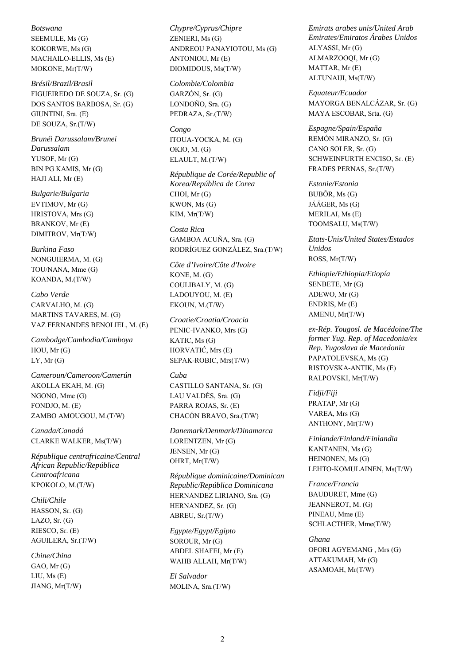*Botswana* SEEMULE, Ms (G) KOKORWE, Ms (G) MACHAILO-ELLIS, Ms (E) MOKONE, Mr(T/W)

*Brésil/Brazil/Brasil* FIGUEIREDO DE SOUZA, Sr. (G) DOS SANTOS BARBOSA, Sr. (G) GIUNTINI, Sra. (E) DE SOUZA, Sr.(T/W)

*Brunéi Darussalam/Brunei Darussalam* YUSOF, Mr (G) BIN PG KAMIS, Mr (G) HAJI ALI, Mr (E)

*Bulgarie/Bulgaria* EVTIMOV, Mr (G) HRISTOVA, Mrs (G) BRANKOV, Mr (E) DIMITROV, Mr(T/W)

*Burkina Faso* NONGUIERMA, M. (G) TOU/NANA, Mme (G) KOANDA, M.(T/W)

*Cabo Verde* CARVALHO, M. (G) MARTINS TAVARES, M. (G) VAZ FERNANDES BENOLIEL, M. (E)

*Cambodge/Cambodia/Camboya* HOU, Mr (G)  $LY$ , Mr  $(G)$ 

*Cameroun/Cameroon/Camerún* AKOLLA EKAH, M. (G) NGONO, Mme (G) FONDJO, M. (E) ZAMBO AMOUGOU, M.(T/W)

*Canada/Canadá* CLARKE WALKER, Ms(T/W)

*République centrafricaine/Central African Republic/República Centroafricana* KPOKOLO, M.(T/W)

*Chili/Chile* HASSON, Sr. (G) LAZO, Sr. (G) RIESCO, Sr. (E) AGUILERA, Sr.(T/W)

*Chine/China* GAO, Mr (G) LIU, Ms (E) JIANG, Mr(T/W)

*Chypre/Cyprus/Chipre* ZENIERI, Ms (G) ANDREOU PANAYIOTOU, Ms (G) ANTONIOU, Mr (E) DIOMIDOUS, Ms(T/W)

*Colombie/Colombia* GARZÓN, Sr. (G) LONDOÑO, Sra. (G) PEDRAZA, Sr.(T/W)

*Congo* ITOUA-YOCKA, M. (G) OKIO, M. (G) ELAULT, M.(T/W)

*République de Corée/Republic of Korea/República de Corea* CHOI, Mr (G) KWON, Ms (G) KIM, Mr(T/W)

*Costa Rica* GAMBOA ACUÑA, Sra. (G) RODRÍGUEZ GONZÁLEZ, Sra.(T/W)

*Côte d'Ivoire/Côte d'Ivoire* KONE, M. (G) COULIBALY, M. (G) LADOUYOU, M. (E) EKOUN, M.(T/W)

*Croatie/Croatia/Croacia* PENIC-IVANKO, Mrs (G) KATIC, Ms (G) HORVATIĆ, Mrs (E) SEPAK-ROBIC, Mrs(T/W)

### *Cuba*

CASTILLO SANTANA, Sr. (G) LAU VALDÉS, Sra. (G) PARRA ROJAS, Sr. (E) CHACÓN BRAVO, Sra.(T/W)

*Danemark/Denmark/Dinamarca* LORENTZEN, Mr (G) JENSEN, Mr (G) OHRT, Mr(T/W)

*République dominicaine/Dominican Republic/República Dominicana* HERNANDEZ LIRIANO, Sra. (G) HERNANDEZ, Sr. (G) ABREU, Sr.(T/W)

*Egypte/Egypt/Egipto* SOROUR, Mr (G) ABDEL SHAFEI, Mr (E) WAHB ALLAH, Mr(T/W)

*El Salvador* MOLINA, Sra.(T/W) *Emirats arabes unis/United Arab Emirates/Emiratos Árabes Unidos* ALYASSI, Mr (G) ALMARZOOQI, Mr (G) MATTAR, Mr (E) ALTUNAIJI, Ms(T/W)

*Equateur/Ecuador* MAYORGA BENALCÁZAR, Sr. (G) MAYA ESCOBAR, Srta. (G)

*Espagne/Spain/España* REMÓN MIRANZO, Sr. (G) CANO SOLER, Sr. (G) SCHWEINFURTH ENCISO, Sr. (E) FRADES PERNAS, Sr.(T/W)

*Estonie/Estonia* BUBÕR, Ms (G) JÄÄGER, Ms (G) MERILAI, Ms (E) TOOMSALU, Ms(T/W)

*Etats-Unis/United States/Estados Unidos* ROSS, Mr(T/W)

*Ethiopie/Ethiopia/Etiopía* SENBETE, Mr (G) ADEWO, Mr (G) ENDRIS, Mr (E) AMENU, Mr(T/W)

*ex-Rép. Yougosl. de Macédoine/The former Yug. Rep. of Macedonia/ex Rep. Yugoslava de Macedonia* PAPATOLEVSKA, Ms (G) RISTOVSKA-ANTIK, Ms (E) RALPOVSKI, Mr(T/W)

*Fidji/Fiji* PRATAP, Mr (G) VAREA, Mrs (G) ANTHONY, Mr(T/W)

*Finlande/Finland/Finlandia* KANTANEN, Ms (G) HEINONEN, Ms (G) LEHTO-KOMULAINEN, Ms(T/W)

*France/Francia* BAUDURET, Mme (G) JEANNEROT, M. (G) PINEAU, Mme (E) SCHLACTHER, Mme(T/W)

*Ghana* OFORI AGYEMANG , Mrs (G) ATTAKUMAH, Mr (G) ASAMOAH, Mr(T/W)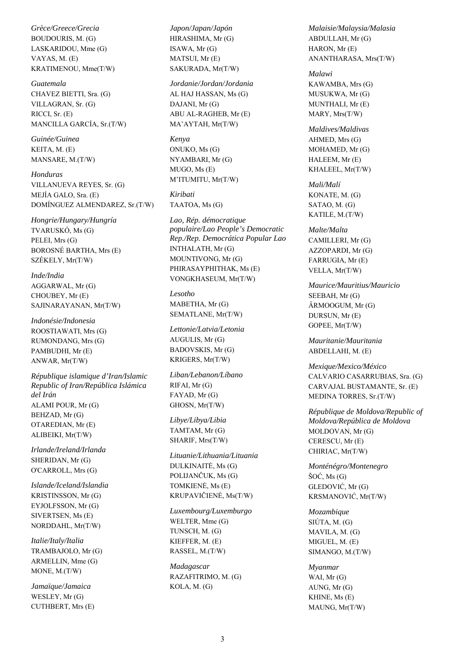*Grèce/Greece/Grecia* BOUDOURIS, M. (G) LASKARIDOU, Mme (G) VAYAS, M. (E) KRATIMENOU, Mme(T/W)

*Guatemala* CHAVEZ BIETTI, Sra. (G) VILLAGRAN, Sr. (G) RICCI, Sr. (E) MANCILLA GARCÍA, Sr.(T/W)

*Guinée/Guinea* KEITA, M. (E) MANSARE, M.(T/W)

*Honduras* VILLANUEVA REYES, Sr. (G) MEJÍA GALO, Sra. (E) DOMÍNGUEZ ALMENDAREZ, Sr.(T/W)

*Hongrie/Hungary/Hungría* TVARUSKÓ, Ms (G) PELEI, Mrs (G) BOROSNÉ BARTHA, Mrs (E) SZÉKELY, Mr(T/W)

*Inde/India* AGGARWAL, Mr (G) CHOUBEY, Mr (E) SAJINARAYANAN, Mr(T/W)

*Indonésie/Indonesia* ROOSTIAWATI, Mrs (G) RUMONDANG, Mrs (G) PAMBUDHI, Mr (E) ANWAR, Mr(T/W)

*République islamique d'Iran/Islamic Republic of Iran/República Islámica del Irán* ALAMI POUR, Mr (G) BEHZAD, Mr (G) OTAREDIAN, Mr (E) ALIBEIKI, Mr(T/W)

*Irlande/Ireland/Irlanda* SHERIDAN, Mr (G) O'CARROLL, Mrs (G)

*Islande/Iceland/Islandia* KRISTINSSON, Mr (G) EYJOLFSSON, Mr (G) SIVERTSEN, Ms (E) NORDDAHL, Mr(T/W)

*Italie/Italy/Italia* TRAMBAJOLO, Mr (G) ARMELLIN, Mme (G) MONE, M.(T/W)

*Jamaïque/Jamaica* WESLEY, Mr (G) CUTHBERT, Mrs (E) *Japon/Japan/Japón* HIRASHIMA, Mr (G) ISAWA, Mr (G) MATSUI, Mr (E) SAKURADA, Mr(T/W)

*Jordanie/Jordan/Jordania* AL HAJ HASSAN, Ms (G) DAJANI, Mr (G) ABU AL-RAGHEB, Mr (E) MA'AYTAH, Mr(T/W)

*Kenya* ONUKO, Ms (G) NYAMBARI, Mr (G) MUGO, Ms (E) M'ITUMITU, Mr(T/W)

*Kiribati* TAATOA, Ms (G)

*Lao, Rép. démocratique populaire/Lao People's Democratic Rep./Rep. Democrática Popular Lao* INTHALATH, Mr (G) MOUNTIVONG, Mr (G) PHIRASAYPHITHAK, Ms (E) VONGKHASEUM, Mr(T/W)

*Lesotho* MABETHA, Mr (G) SEMATLANE, Mr(T/W)

*Lettonie/Latvia/Letonia* AUGULIS, Mr (G) BADOVSKIS, Mr (G) KRIGERS, Mr(T/W)

*Liban/Lebanon/Líbano* RIFAI, Mr (G) FAYAD, Mr (G) GHOSN, Mr(T/W)

*Libye/Libya/Libia* TAMTAM, Mr (G) SHARIF, Mrs(T/W)

*Lituanie/Lithuania/Lituania* DULKINAITĖ, Ms (G) POLIJANČUK, Ms (G) TOMKIENĖ, Ms (E) KRUPAVIČIENĖ, Ms(T/W)

*Luxembourg/Luxemburgo* WELTER, Mme (G) TUNSCH, M. (G) KIEFFER, M. (E) RASSEL, M.(T/W)

*Madagascar* RAZAFITRIMO, M. (G) KOLA, M. (G)

*Malaisie/Malaysia/Malasia* ABDULLAH, Mr (G) HARON, Mr (E) ANANTHARASA, Mrs(T/W)

*Malawi* KAWAMBA, Mrs (G) MUSUKWA, Mr (G) MUNTHALI, Mr (E) MARY, Mrs(T/W)

*Maldives/Maldivas* AHMED, Mrs (G) MOHAMED, Mr (G) HALEEM, Mr (E) KHALEEL, Mr(T/W)

*Mali/Malí* KONATE, M. (G) SATAO, M. (G) KATILE, M.(T/W)

*Malte/Malta* CAMILLERI, Mr (G) AZZOPARDI, Mr (G) FARRUGIA, Mr (E) VELLA, Mr(T/W)

*Maurice/Mauritius/Mauricio* SEEBAH, Mr (G) ÂRMOOGUM, Mr (G) DURSUN, Mr (E) GOPEE, Mr(T/W)

*Mauritanie/Mauritania* ABDELLAHI, M. (E)

*Mexique/Mexico/México* CALVARIO CASARRUBIAS, Sra. (G) CARVAJAL BUSTAMANTE, Sr. (E) MEDINA TORRES, Sr.(T/W)

*République de Moldova/Republic of Moldova/República de Moldova*  MOLDOVAN, Mr (G) CERESCU, Mr (E) CHIRIAC, Mr(T/W)

*Monténégro/Montenegro*  $\text{SOC}, \text{Ms}(\text{G})$ GLEDOVIĆ, Mr (G) KRSMANOVIĆ, Mr(T/W)

*Mozambique* SIÚTA, M. (G) MAVILA, M. (G) MIGUEL, M. (E) SIMANGO, M.(T/W)

*Myanmar* WAI, Mr (G) AUNG, Mr (G) KHINE, Ms (E) MAUNG, Mr(T/W)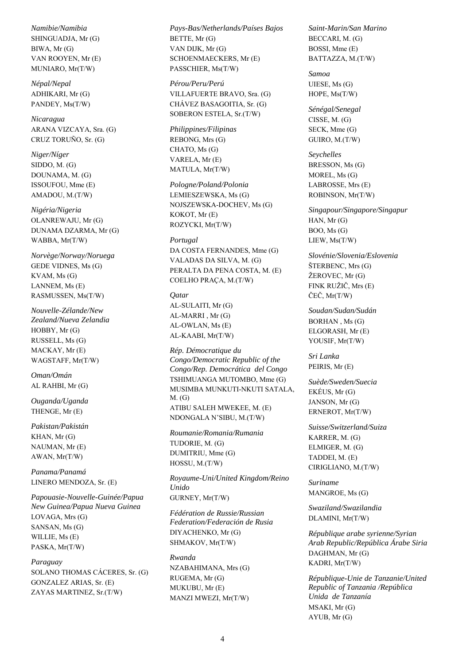*Namibie/Namibia* SHINGUADJA, Mr (G) BIWA, Mr (G) VAN ROOYEN, Mr (E) MUNIARO, Mr(T/W)

*Népal/Nepal* ADHIKARI, Mr (G) PANDEY, Ms(T/W)

*Nicaragua* ARANA VIZCAYA, Sra. (G) CRUZ TORUÑO, Sr. (G)

*Niger/Níger* SIDDO, M. (G) DOUNAMA, M. (G) ISSOUFOU, Mme (E) AMADOU, M.(T/W)

*Nigéria/Nigeria* OLANREWAJU, Mr (G) DUNAMA DZARMA, Mr (G) WABBA, Mr(T/W)

*Norvège/Norway/Noruega* GEDE VIDNES, Ms (G) KVAM, Ms (G) LANNEM, Ms (E) RASMUSSEN, Ms(T/W)

*Nouvelle-Zélande/New Zealand/Nueva Zelandia* HOBBY, Mr (G) RUSSELL, Ms (G) MACKAY, Mr (E) WAGSTAFF, Mr(T/W)

*Oman/Omán* AL RAHBI, Mr (G)

*Ouganda/Uganda* THENGE, Mr (E)

*Pakistan/Pakistán* KHAN, Mr (G) NAUMAN, Mr (E) AWAN, Mr(T/W)

*Panama/Panamá* LINERO MENDOZA, Sr. (E)

*Papouasie-Nouvelle-Guinée/Papua New Guinea/Papua Nueva Guinea* LOVAGA, Mrs (G) SANSAN, Ms (G) WILLIE, Ms (E) PASKA, Mr(T/W)

#### *Paraguay*

SOLANO THOMAS CÁCERES, Sr. (G) GONZALEZ ARIAS, Sr. (E) ZAYAS MARTINEZ, Sr.(T/W)

*Pays-Bas/Netherlands/Países Bajos* BETTE, Mr (G) VAN DIJK, Mr (G) SCHOENMAECKERS, Mr (E) PASSCHIER, Ms(T/W)

*Pérou/Peru/Perú* VILLAFUERTE BRAVO, Sra. (G) CHÁVEZ BASAGOITIA, Sr. (G) SOBERON ESTELA, Sr.(T/W)

*Philippines/Filipinas* REBONG, Mrs (G) CHATO, Ms (G) VARELA, Mr (E) MATULA, Mr(T/W)

*Pologne/Poland/Polonia* LEMIESZEWSKA, Ms (G) NOJSZEWSKA-DOCHEV, Ms (G) KOKOT, Mr (E) ROZYCKI, Mr(T/W)

### *Portugal*

DA COSTA FERNANDES, Mme (G) VALADAS DA SILVA, M. (G) PERALTA DA PENA COSTA, M. (E) COELHO PRAÇA, M.(T/W)

#### *Qatar*

AL-SULAITI, Mr (G) AL-MARRI , Mr (G) AL-OWLAN, Ms (E) AL-KAABI, Mr(T/W)

*Rép. Démocratique du Congo/Democratic Republic of the Congo/Rep. Democrática del Congo* TSHIMUANGA MUTOMBO, Mme (G) MUSIMBA MUNKUTI-NKUTI SATALA,  $M_{\odot}$  (G) ATIBU SALEH MWEKEE, M. (E) NDONGALA N'SIBU, M.(T/W)

*Roumanie/Romania/Rumania* TUDORIE, M. (G) DUMITRIU, Mme (G) HOSSU, M.(T/W)

*Royaume-Uni/United Kingdom/Reino Unido* GURNEY, Mr(T/W)

*Fédération de Russie/Russian Federation/Federación de Rusia* DIYACHENKO, Mr (G) SHMAKOV, Mr(T/W)

*Rwanda* NZABAHIMANA, Mrs (G) RUGEMA, Mr (G) MUKUBU, Mr (E) MANZI MWEZI, Mr(T/W)

*Saint-Marin/San Marino* BECCARI, M. (G) BOSSI, Mme (E) BATTAZZA, M.(T/W)

*Samoa* UIESE, Ms (G) HOPE, Ms(T/W)

*Sénégal/Senegal* CISSE, M. (G) SECK, Mme (G) GUIRO, M.(T/W)

*Seychelles* BRESSON, Ms (G) MOREL, Ms (G) LABROSSE, Mrs (E) ROBINSON, Mr(T/W)

*Singapour/Singapore/Singapur* HAN, Mr (G) BOO, Ms (G) LIEW, Ms(T/W)

*Slovénie/Slovenia/Eslovenia* ŠTERBENC, Mrs (G) ŽEROVEC, Mr (G) FINK RUŽIČ, Mrs (E) ČEČ, Mr(T/W)

*Soudan/Sudan/Sudán* BORHAN , Ms (G) ELGORASH, Mr (E) YOUSIF, Mr(T/W)

*Sri Lanka* PEIRIS, Mr (E)

*Suède/Sweden/Suecia* EKÉUS, Mr (G) JANSON, Mr (G) ERNEROT, Mr(T/W)

*Suisse/Switzerland/Suiza* KARRER, M. (G) ELMIGER, M. (G) TADDEI, M. (E) CIRIGLIANO, M.(T/W)

*Suriname* MANGROE, Ms (G)

*Swaziland/Swazilandia* DLAMINI, Mr(T/W)

*République arabe syrienne/Syrian Arab Republic/República Árabe Siria* DAGHMAN, Mr (G) KADRI, Mr(T/W)

*République-Unie de Tanzanie/United Republic of Tanzania /República Unida de Tanzanía* MSAKI, Mr (G) AYUB, Mr (G)